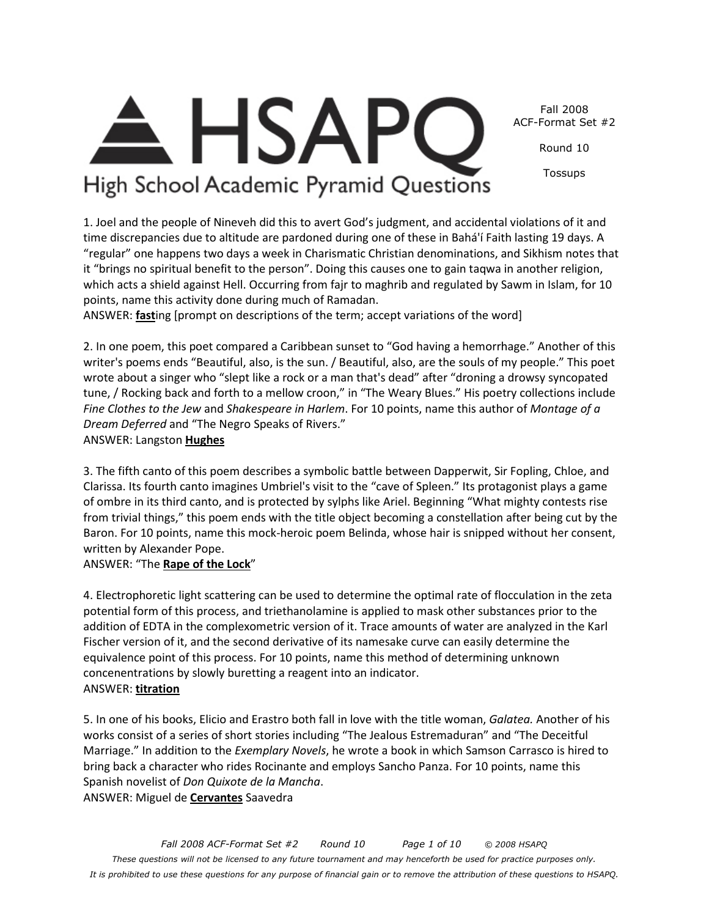Fall 2008 ACF-Format Set #2

Round 10

Tossups

# High School Academic Pyramid Questions

**HSAP** 

1. Joel and the people of Nineveh did this to avert God's judgment, and accidental violations of it and time discrepancies due to altitude are pardoned during one of these in Bahá'í Faith lasting 19 days. A "regular" one happens two days a week in Charismatic Christian denominations, and Sikhism notes that it "brings no spiritual benefit to the person". Doing this causes one to gain taqwa in another religion, which acts a shield against Hell. Occurring from fajr to maghrib and regulated by Sawm in Islam, for 10 points, name this activity done during much of Ramadan.

ANSWER: **fast**ing [prompt on descriptions of the term; accept variations of the word]

2. In one poem, this poet compared a Caribbean sunset to "God having a hemorrhage." Another of this writer's poems ends "Beautiful, also, is the sun. / Beautiful, also, are the souls of my people." This poet wrote about a singer who "slept like a rock or a man that's dead" after "droning a drowsy syncopated tune, / Rocking back and forth to a mellow croon," in "The Weary Blues." His poetry collections include *Fine Clothes to the Jew* and *Shakespeare in Harlem*. For 10 points, name this author of *Montage of a Dream Deferred* and "The Negro Speaks of Rivers." ANSWER: Langston **Hughes**

3. The fifth canto of this poem describes a symbolic battle between Dapperwit, Sir Fopling, Chloe, and Clarissa. Its fourth canto imagines Umbriel's visit to the "cave of Spleen." Its protagonist plays a game of ombre in its third canto, and is protected by sylphs like Ariel. Beginning "What mighty contests rise from trivial things," this poem ends with the title object becoming a constellation after being cut by the Baron. For 10 points, name this mock-heroic poem Belinda, whose hair is snipped without her consent, written by Alexander Pope.

#### ANSWER: "The **Rape of the Lock**"

4. Electrophoretic light scattering can be used to determine the optimal rate of flocculation in the zeta potential form of this process, and triethanolamine is applied to mask other substances prior to the addition of EDTA in the complexometric version of it. Trace amounts of water are analyzed in the Karl Fischer version of it, and the second derivative of its namesake curve can easily determine the equivalence point of this process. For 10 points, name this method of determining unknown concenentrations by slowly buretting a reagent into an indicator. ANSWER: **titration**

5. In one of his books, Elicio and Erastro both fall in love with the title woman, *Galatea.* Another of his works consist of a series of short stories including "The Jealous Estremaduran" and "The Deceitful Marriage." In addition to the *Exemplary Novels*, he wrote a book in which Samson Carrasco is hired to bring back a character who rides Rocinante and employs Sancho Panza. For 10 points, name this Spanish novelist of *Don Quixote de la Mancha*. ANSWER: Miguel de **Cervantes** Saavedra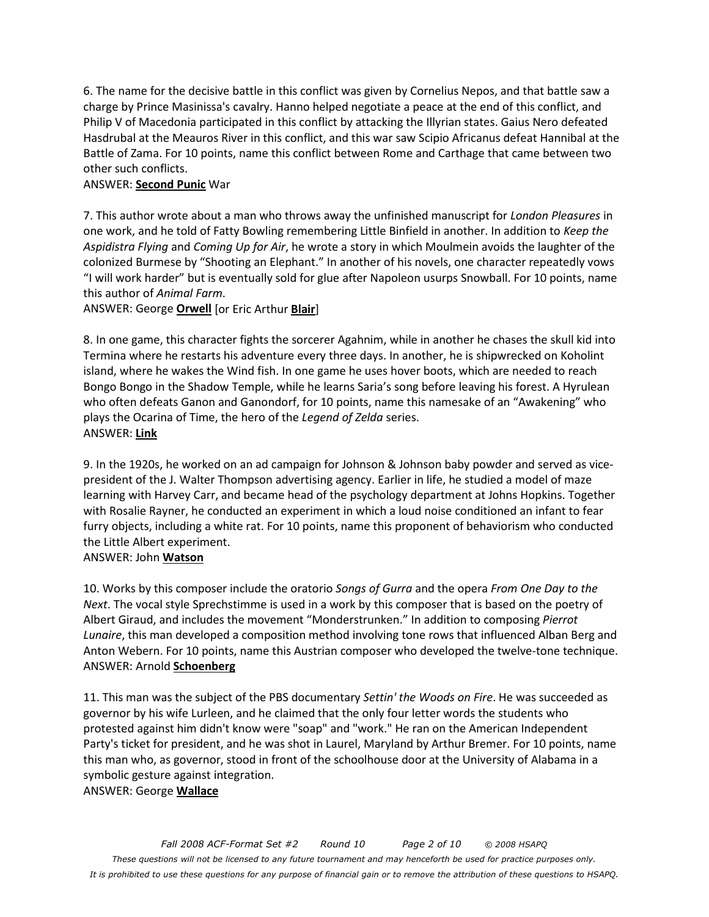6. The name for the decisive battle in this conflict was given by Cornelius Nepos, and that battle saw a charge by Prince Masinissa's cavalry. Hanno helped negotiate a peace at the end of this conflict, and Philip V of Macedonia participated in this conflict by attacking the Illyrian states. Gaius Nero defeated Hasdrubal at the Meauros River in this conflict, and this war saw Scipio Africanus defeat Hannibal at the Battle of Zama. For 10 points, name this conflict between Rome and Carthage that came between two other such conflicts.

#### ANSWER: **Second Punic** War

7. This author wrote about a man who throws away the unfinished manuscript for *London Pleasures* in one work, and he told of Fatty Bowling remembering Little Binfield in another. In addition to *Keep the Aspidistra Flying* and *Coming Up for Air*, he wrote a story in which Moulmein avoids the laughter of the colonized Burmese by "Shooting an Elephant." In another of his novels, one character repeatedly vows "I will work harder" but is eventually sold for glue after Napoleon usurps Snowball. For 10 points, name this author of *Animal Farm*.

ANSWER: George **Orwell** [or Eric Arthur **Blair**]

8. In one game, this character fights the sorcerer Agahnim, while in another he chases the skull kid into Termina where he restarts his adventure every three days. In another, he is shipwrecked on Koholint island, where he wakes the Wind fish. In one game he uses hover boots, which are needed to reach Bongo Bongo in the Shadow Temple, while he learns Saria's song before leaving his forest. A Hyrulean who often defeats Ganon and Ganondorf, for 10 points, name this namesake of an "Awakening" who plays the Ocarina of Time, the hero of the *Legend of Zelda* series. ANSWER: **Link**

9. In the 1920s, he worked on an ad campaign for Johnson & Johnson baby powder and served as vicepresident of the J. Walter Thompson advertising agency. Earlier in life, he studied a model of maze learning with Harvey Carr, and became head of the psychology department at Johns Hopkins. Together with Rosalie Rayner, he conducted an experiment in which a loud noise conditioned an infant to fear furry objects, including a white rat. For 10 points, name this proponent of behaviorism who conducted the Little Albert experiment.

#### ANSWER: John **Watson**

10. Works by this composer include the oratorio *Songs of Gurra* and the opera *From One Day to the Next*. The vocal style Sprechstimme is used in a work by this composer that is based on the poetry of Albert Giraud, and includes the movement "Monderstrunken." In addition to composing *Pierrot Lunaire*, this man developed a composition method involving tone rows that influenced Alban Berg and Anton Webern. For 10 points, name this Austrian composer who developed the twelve-tone technique. ANSWER: Arnold **Schoenberg**

11. This man was the subject of the PBS documentary *Settin' the Woods on Fire*. He was succeeded as governor by his wife Lurleen, and he claimed that the only four letter words the students who protested against him didn't know were "soap" and "work." He ran on the American Independent Party's ticket for president, and he was shot in Laurel, Maryland by Arthur Bremer. For 10 points, name this man who, as governor, stood in front of the schoolhouse door at the University of Alabama in a symbolic gesture against integration.

ANSWER: George **Wallace**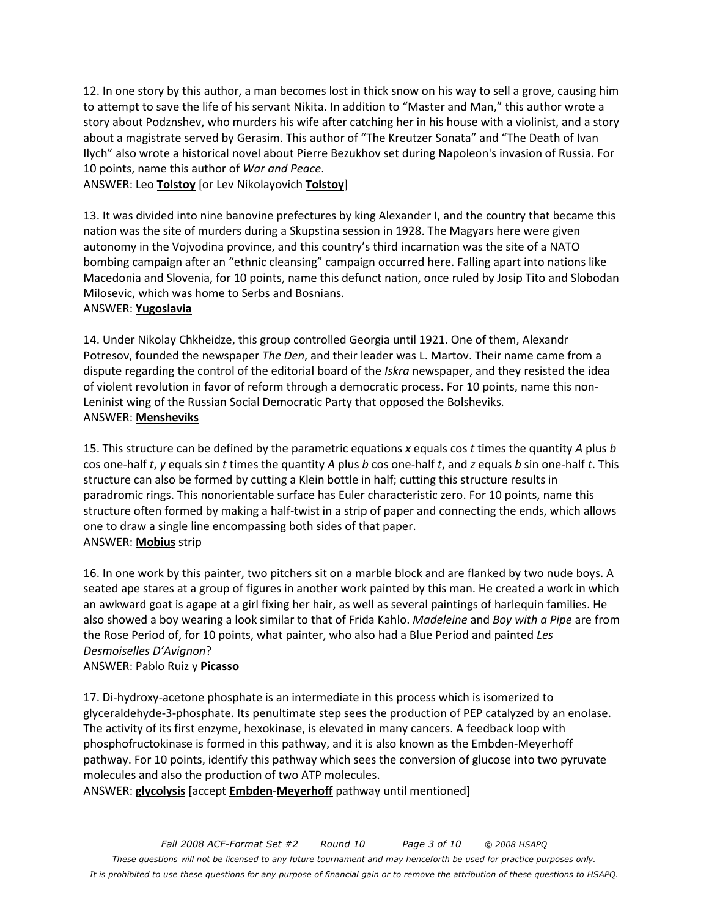12. In one story by this author, a man becomes lost in thick snow on his way to sell a grove, causing him to attempt to save the life of his servant Nikita. In addition to "Master and Man," this author wrote a story about Podznshev, who murders his wife after catching her in his house with a violinist, and a story about a magistrate served by Gerasim. This author of "The Kreutzer Sonata" and "The Death of Ivan Ilych" also wrote a historical novel about Pierre Bezukhov set during Napoleon's invasion of Russia. For 10 points, name this author of *War and Peace*.

ANSWER: Leo **Tolstoy** [or Lev Nikolayovich **Tolstoy**]

13. It was divided into nine banovine prefectures by king Alexander I, and the country that became this nation was the site of murders during a Skupstina session in 1928. The Magyars here were given autonomy in the Vojvodina province, and this country's third incarnation was the site of a NATO bombing campaign after an "ethnic cleansing" campaign occurred here. Falling apart into nations like Macedonia and Slovenia, for 10 points, name this defunct nation, once ruled by Josip Tito and Slobodan Milosevic, which was home to Serbs and Bosnians.

#### ANSWER: **Yugoslavia**

14. Under Nikolay Chkheidze, this group controlled Georgia until 1921. One of them, Alexandr Potresov, founded the newspaper *The Den*, and their leader was L. Martov. Their name came from a dispute regarding the control of the editorial board of the *Iskra* newspaper, and they resisted the idea of violent revolution in favor of reform through a democratic process. For 10 points, name this non-Leninist wing of the Russian Social Democratic Party that opposed the Bolsheviks. ANSWER: **Mensheviks**

15. This structure can be defined by the parametric equations *x* equals cos *t* times the quantity *A* plus *b* cos one-half *t*, *y* equals sin *t* times the quantity *A* plus *b* cos one-half *t*, and *z* equals *b* sin one-half *t*. This structure can also be formed by cutting a Klein bottle in half; cutting this structure results in paradromic rings. This nonorientable surface has Euler characteristic zero. For 10 points, name this structure often formed by making a half-twist in a strip of paper and connecting the ends, which allows one to draw a single line encompassing both sides of that paper. ANSWER: **Mobius** strip

16. In one work by this painter, two pitchers sit on a marble block and are flanked by two nude boys. A seated ape stares at a group of figures in another work painted by this man. He created a work in which an awkward goat is agape at a girl fixing her hair, as well as several paintings of harlequin families. He also showed a boy wearing a look similar to that of Frida Kahlo. *Madeleine* and *Boy with a Pipe* are from the Rose Period of, for 10 points, what painter, who also had a Blue Period and painted *Les Desmoiselles D'Avignon*?

# ANSWER: Pablo Ruiz y **Picasso**

17. Di-hydroxy-acetone phosphate is an intermediate in this process which is isomerized to glyceraldehyde-3-phosphate. Its penultimate step sees the production of PEP catalyzed by an enolase. The activity of its first enzyme, hexokinase, is elevated in many cancers. A feedback loop with phosphofructokinase is formed in this pathway, and it is also known as the Embden-Meyerhoff pathway. For 10 points, identify this pathway which sees the conversion of glucose into two pyruvate molecules and also the production of two ATP molecules.

ANSWER: **glycolysis** [accept **Embden**-**Meyerhoff** pathway until mentioned]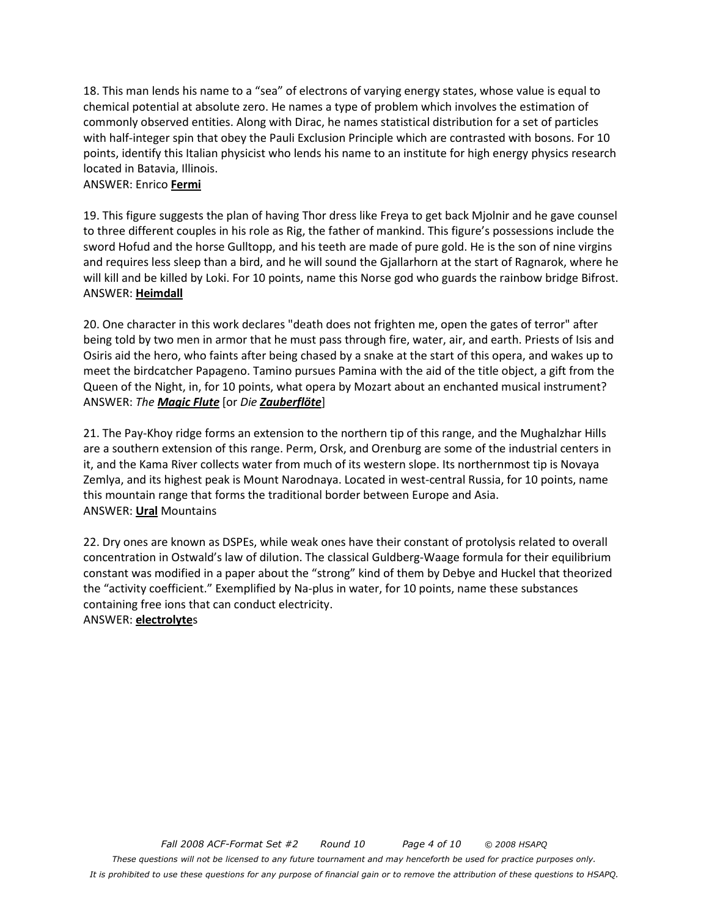18. This man lends his name to a "sea" of electrons of varying energy states, whose value is equal to chemical potential at absolute zero. He names a type of problem which involves the estimation of commonly observed entities. Along with Dirac, he names statistical distribution for a set of particles with half-integer spin that obey the Pauli Exclusion Principle which are contrasted with bosons. For 10 points, identify this Italian physicist who lends his name to an institute for high energy physics research located in Batavia, Illinois.

#### ANSWER: Enrico **Fermi**

19. This figure suggests the plan of having Thor dress like Freya to get back Mjolnir and he gave counsel to three different couples in his role as Rig, the father of mankind. This figure's possessions include the sword Hofud and the horse Gulltopp, and his teeth are made of pure gold. He is the son of nine virgins and requires less sleep than a bird, and he will sound the Gjallarhorn at the start of Ragnarok, where he will kill and be killed by Loki. For 10 points, name this Norse god who guards the rainbow bridge Bifrost. ANSWER: **Heimdall**

20. One character in this work declares "death does not frighten me, open the gates of terror" after being told by two men in armor that he must pass through fire, water, air, and earth. Priests of Isis and Osiris aid the hero, who faints after being chased by a snake at the start of this opera, and wakes up to meet the birdcatcher Papageno. Tamino pursues Pamina with the aid of the title object, a gift from the Queen of the Night, in, for 10 points, what opera by Mozart about an enchanted musical instrument? ANSWER: *The Magic Flute* [or *Die Zauberflöte*]

21. The Pay-Khoy ridge forms an extension to the northern tip of this range, and the Mughalzhar Hills are a southern extension of this range. Perm, Orsk, and Orenburg are some of the industrial centers in it, and the Kama River collects water from much of its western slope. Its northernmost tip is Novaya Zemlya, and its highest peak is Mount Narodnaya. Located in west-central Russia, for 10 points, name this mountain range that forms the traditional border between Europe and Asia. ANSWER: **Ural** Mountains

22. Dry ones are known as DSPEs, while weak ones have their constant of protolysis related to overall concentration in Ostwald's law of dilution. The classical Guldberg-Waage formula for their equilibrium constant was modified in a paper about the "strong" kind of them by Debye and Huckel that theorized the "activity coefficient." Exemplified by Na-plus in water, for 10 points, name these substances containing free ions that can conduct electricity.

#### ANSWER: **electrolyte**s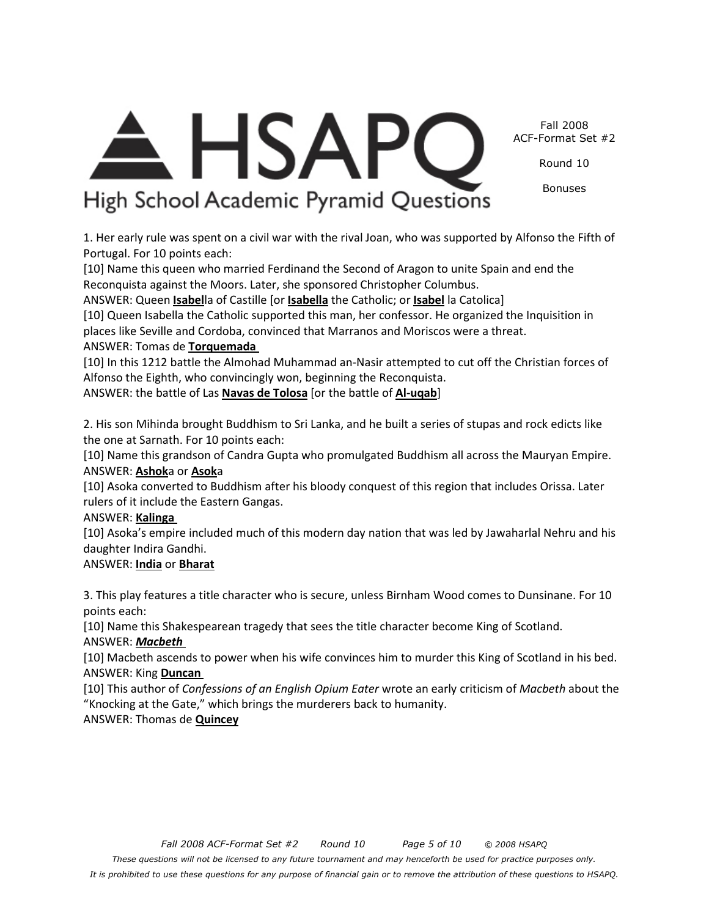Fall 2008 ACF-Format Set #2

Round 10

Bonuses

# **HSAPC** High School Academic Pyramid Questions

1. Her early rule was spent on a civil war with the rival Joan, who was supported by Alfonso the Fifth of Portugal. For 10 points each:

[10] Name this queen who married Ferdinand the Second of Aragon to unite Spain and end the Reconquista against the Moors. Later, she sponsored Christopher Columbus.

ANSWER: Queen **Isabel**la of Castille [or **Isabella** the Catholic; or **Isabel** la Catolica]

[10] Queen Isabella the Catholic supported this man, her confessor. He organized the Inquisition in places like Seville and Cordoba, convinced that Marranos and Moriscos were a threat. ANSWER: Tomas de **Torquemada** 

[10] In this 1212 battle the Almohad Muhammad an-Nasir attempted to cut off the Christian forces of Alfonso the Eighth, who convincingly won, beginning the Reconquista.

ANSWER: the battle of Las **Navas de Tolosa** [or the battle of **Al-uqab**]

2. His son Mihinda brought Buddhism to Sri Lanka, and he built a series of stupas and rock edicts like the one at Sarnath. For 10 points each:

[10] Name this grandson of Candra Gupta who promulgated Buddhism all across the Mauryan Empire. ANSWER: **Ashok**a or **Asok**a

[10] Asoka converted to Buddhism after his bloody conquest of this region that includes Orissa. Later rulers of it include the Eastern Gangas.

# ANSWER: **Kalinga**

[10] Asoka's empire included much of this modern day nation that was led by Jawaharlal Nehru and his daughter Indira Gandhi.

# ANSWER: **India** or **Bharat**

3. This play features a title character who is secure, unless Birnham Wood comes to Dunsinane. For 10 points each:

[10] Name this Shakespearean tragedy that sees the title character become King of Scotland. ANSWER: *Macbeth* 

[10] Macbeth ascends to power when his wife convinces him to murder this King of Scotland in his bed. ANSWER: King **Duncan** 

[10] This author of *Confessions of an English Opium Eater* wrote an early criticism of *Macbeth* about the "Knocking at the Gate," which brings the murderers back to humanity.

# ANSWER: Thomas de **Quincey**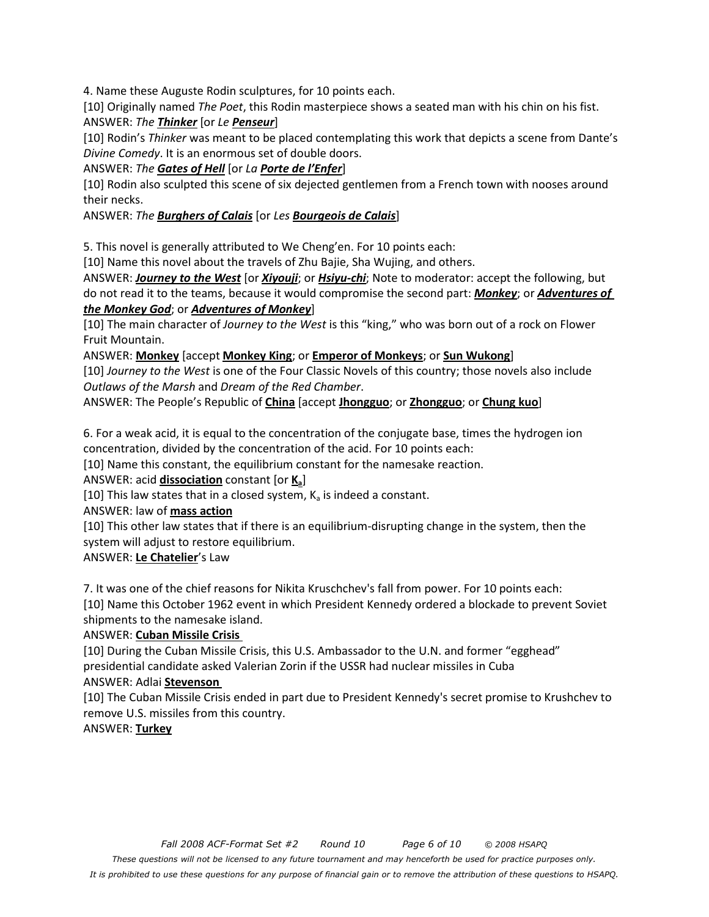4. Name these Auguste Rodin sculptures, for 10 points each.

[10] Originally named *The Poet*, this Rodin masterpiece shows a seated man with his chin on his fist. ANSWER: *The Thinker* [or *Le Penseur*]

[10] Rodin's *Thinker* was meant to be placed contemplating this work that depicts a scene from Dante's *Divine Comedy*. It is an enormous set of double doors.

#### ANSWER: *The Gates of Hell* [or *La Porte de l'Enfer*]

[10] Rodin also sculpted this scene of six dejected gentlemen from a French town with nooses around their necks.

#### ANSWER: *The Burghers of Calais* [or *Les Bourgeois de Calais*]

5. This novel is generally attributed to We Cheng'en. For 10 points each:

[10] Name this novel about the travels of Zhu Bajie, Sha Wujing, and others.

ANSWER: *Journey to the West* [or *Xiyouji*; or *Hsiyu-chi*; Note to moderator: accept the following, but do not read it to the teams, because it would compromise the second part: *Monkey*; or *Adventures of the Monkey God*; or *Adventures of Monkey*]

[10] The main character of *Journey to the West* is this "king," who was born out of a rock on Flower Fruit Mountain.

ANSWER: **Monkey** [accept **Monkey King**; or **Emperor of Monkeys**; or **Sun Wukong**]

[10] *Journey to the West* is one of the Four Classic Novels of this country; those novels also include *Outlaws of the Marsh* and *Dream of the Red Chamber*.

ANSWER: The People's Republic of **China** [accept **Jhongguo**; or **Zhongguo**; or **Chung kuo**]

6. For a weak acid, it is equal to the concentration of the conjugate base, times the hydrogen ion concentration, divided by the concentration of the acid. For 10 points each:

[10] Name this constant, the equilibrium constant for the namesake reaction.

ANSWER: acid **dissociation** constant [or **Ka**]

[10] This law states that in a closed system,  $K_a$  is indeed a constant.

ANSWER: law of **mass action**

[10] This other law states that if there is an equilibrium-disrupting change in the system, then the system will adjust to restore equilibrium.

ANSWER: **Le Chatelier**'s Law

7. It was one of the chief reasons for Nikita Kruschchev's fall from power. For 10 points each:

[10] Name this October 1962 event in which President Kennedy ordered a blockade to prevent Soviet shipments to the namesake island.

#### ANSWER: **Cuban Missile Crisis**

[10] During the Cuban Missile Crisis, this U.S. Ambassador to the U.N. and former "egghead" presidential candidate asked Valerian Zorin if the USSR had nuclear missiles in Cuba

#### ANSWER: Adlai **Stevenson**

[10] The Cuban Missile Crisis ended in part due to President Kennedy's secret promise to Krushchev to remove U.S. missiles from this country.

#### ANSWER: **Turkey**

*It is prohibited to use these questions for any purpose of financial gain or to remove the attribution of these questions to HSAPQ.*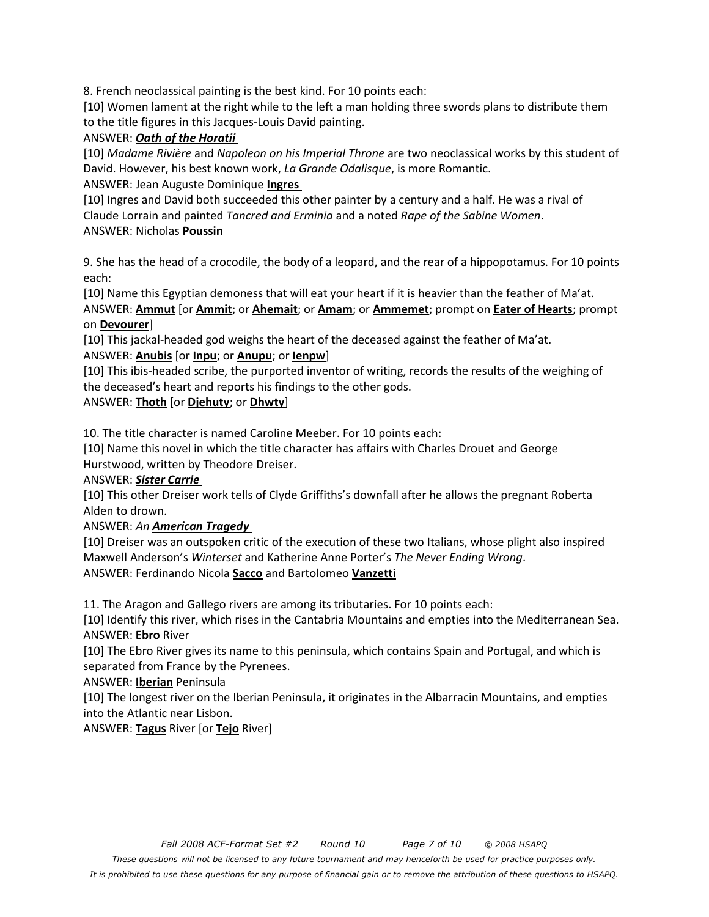8. French neoclassical painting is the best kind. For 10 points each:

[10] Women lament at the right while to the left a man holding three swords plans to distribute them to the title figures in this Jacques-Louis David painting.

#### ANSWER: *Oath of the Horatii*

[10] *Madame Rivière* and *Napoleon on his Imperial Throne* are two neoclassical works by this student of David. However, his best known work, *La Grande Odalisque*, is more Romantic.

ANSWER: Jean Auguste Dominique **Ingres** 

[10] Ingres and David both succeeded this other painter by a century and a half. He was a rival of Claude Lorrain and painted *Tancred and Erminia* and a noted *Rape of the Sabine Women*. ANSWER: Nicholas **Poussin**

9. She has the head of a crocodile, the body of a leopard, and the rear of a hippopotamus. For 10 points each:

[10] Name this Egyptian demoness that will eat your heart if it is heavier than the feather of Ma'at. ANSWER: **Ammut** [or **Ammit**; or **Ahemait**; or **Amam**; or **Ammemet**; prompt on **Eater of Hearts**; prompt on **Devourer**]

[10] This jackal-headed god weighs the heart of the deceased against the feather of Ma'at. ANSWER: **Anubis** [or **Inpu**; or **Anupu**; or **Ienpw**]

[10] This ibis-headed scribe, the purported inventor of writing, records the results of the weighing of the deceased's heart and reports his findings to the other gods.

#### ANSWER: **Thoth** [or **Djehuty**; or **Dhwty**]

10. The title character is named Caroline Meeber. For 10 points each:

[10] Name this novel in which the title character has affairs with Charles Drouet and George Hurstwood, written by Theodore Dreiser.

ANSWER: *Sister Carrie* 

[10] This other Dreiser work tells of Clyde Griffiths's downfall after he allows the pregnant Roberta Alden to drown.

#### ANSWER: *An American Tragedy*

[10] Dreiser was an outspoken critic of the execution of these two Italians, whose plight also inspired Maxwell Anderson's *Winterset* and Katherine Anne Porter's *The Never Ending Wrong*. ANSWER: Ferdinando Nicola **Sacco** and Bartolomeo **Vanzetti**

11. The Aragon and Gallego rivers are among its tributaries. For 10 points each:

[10] Identify this river, which rises in the Cantabria Mountains and empties into the Mediterranean Sea. ANSWER: **Ebro** River

[10] The Ebro River gives its name to this peninsula, which contains Spain and Portugal, and which is separated from France by the Pyrenees.

ANSWER: **Iberian** Peninsula

[10] The longest river on the Iberian Peninsula, it originates in the Albarracin Mountains, and empties into the Atlantic near Lisbon.

ANSWER: **Tagus** River [or **Tejo** River]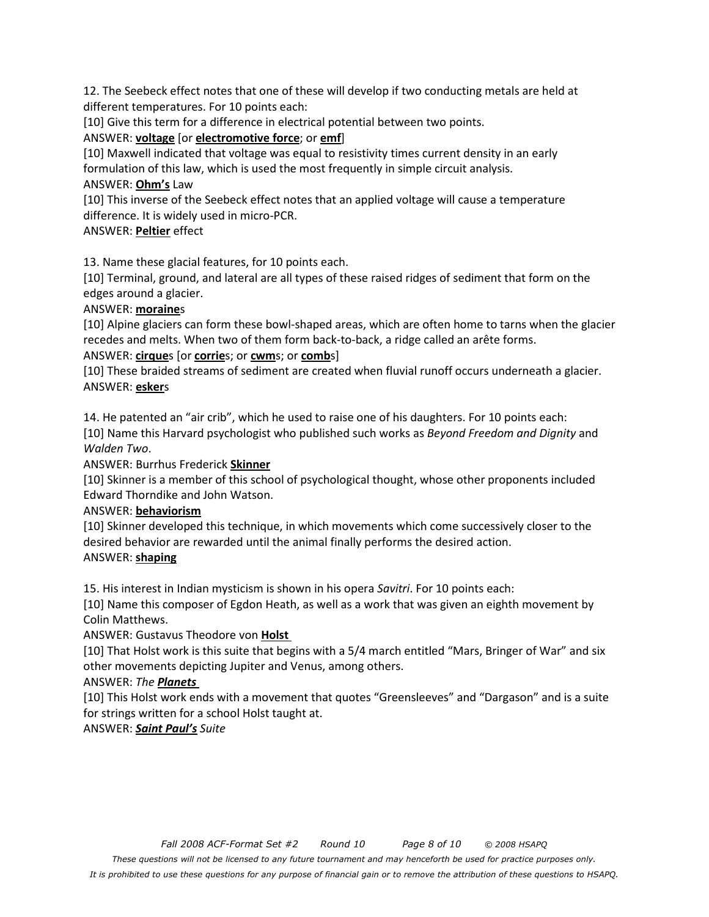12. The Seebeck effect notes that one of these will develop if two conducting metals are held at different temperatures. For 10 points each:

[10] Give this term for a difference in electrical potential between two points.

#### ANSWER: **voltage** [or **electromotive force**; or **emf**]

[10] Maxwell indicated that voltage was equal to resistivity times current density in an early formulation of this law, which is used the most frequently in simple circuit analysis. ANSWER: **Ohm's** Law

[10] This inverse of the Seebeck effect notes that an applied voltage will cause a temperature difference. It is widely used in micro-PCR.

#### ANSWER: **Peltier** effect

13. Name these glacial features, for 10 points each.

[10] Terminal, ground, and lateral are all types of these raised ridges of sediment that form on the edges around a glacier.

#### ANSWER: **moraine**s

[10] Alpine glaciers can form these bowl-shaped areas, which are often home to tarns when the glacier recedes and melts. When two of them form back-to-back, a ridge called an arête forms.

# ANSWER: **cirque**s [or **corrie**s; or **cwm**s; or **comb**s]

[10] These braided streams of sediment are created when fluvial runoff occurs underneath a glacier. ANSWER: **esker**s

14. He patented an "air crib", which he used to raise one of his daughters. For 10 points each: [10] Name this Harvard psychologist who published such works as *Beyond Freedom and Dignity* and *Walden Two*.

ANSWER: Burrhus Frederick **Skinner**

[10] Skinner is a member of this school of psychological thought, whose other proponents included Edward Thorndike and John Watson.

# ANSWER: **behaviorism**

[10] Skinner developed this technique, in which movements which come successively closer to the desired behavior are rewarded until the animal finally performs the desired action. ANSWER: **shaping**

15. His interest in Indian mysticism is shown in his opera *Savitri*. For 10 points each:

[10] Name this composer of Egdon Heath, as well as a work that was given an eighth movement by Colin Matthews.

ANSWER: Gustavus Theodore von **Holst** 

[10] That Holst work is this suite that begins with a 5/4 march entitled "Mars, Bringer of War" and six other movements depicting Jupiter and Venus, among others.

# ANSWER: *The Planets*

[10] This Holst work ends with a movement that quotes "Greensleeves" and "Dargason" and is a suite for strings written for a school Holst taught at.

# ANSWER: *Saint Paul's Suite*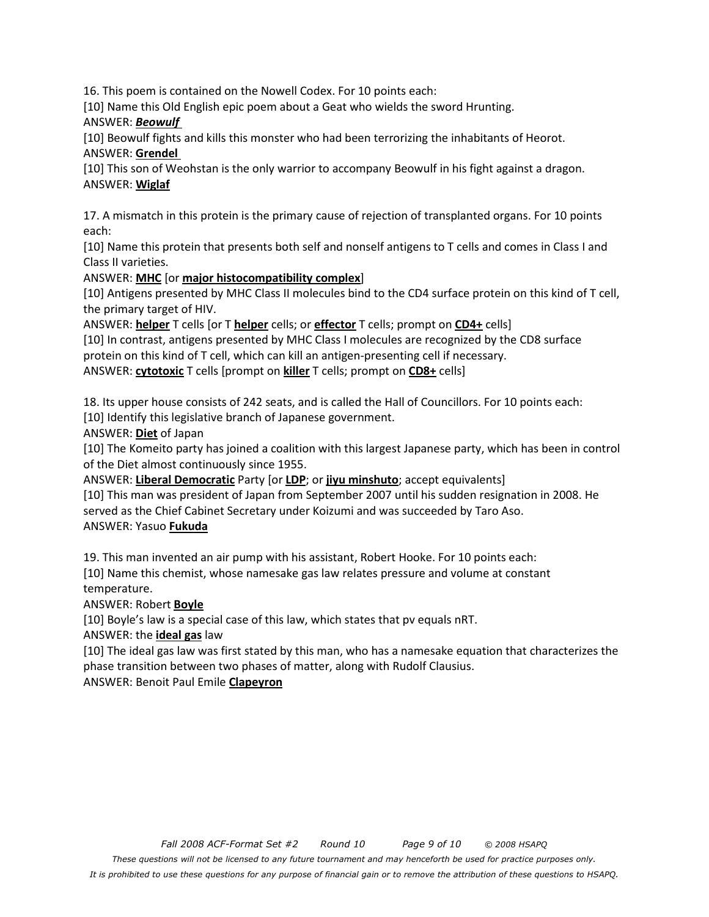16. This poem is contained on the Nowell Codex. For 10 points each:

[10] Name this Old English epic poem about a Geat who wields the sword Hrunting.

ANSWER: *Beowulf* 

[10] Beowulf fights and kills this monster who had been terrorizing the inhabitants of Heorot. ANSWER: **Grendel** 

[10] This son of Weohstan is the only warrior to accompany Beowulf in his fight against a dragon. ANSWER: **Wiglaf**

17. A mismatch in this protein is the primary cause of rejection of transplanted organs. For 10 points each:

[10] Name this protein that presents both self and nonself antigens to T cells and comes in Class I and Class II varieties.

ANSWER: **MHC** [or **major histocompatibility complex**]

[10] Antigens presented by MHC Class II molecules bind to the CD4 surface protein on this kind of T cell, the primary target of HIV.

ANSWER: **helper** T cells [or T **helper** cells; or **effector** T cells; prompt on **CD4+** cells]

[10] In contrast, antigens presented by MHC Class I molecules are recognized by the CD8 surface protein on this kind of T cell, which can kill an antigen-presenting cell if necessary.

ANSWER: **cytotoxic** T cells [prompt on **killer** T cells; prompt on **CD8+** cells]

18. Its upper house consists of 242 seats, and is called the Hall of Councillors. For 10 points each: [10] Identify this legislative branch of Japanese government.

ANSWER: **Diet** of Japan

[10] The Komeito party has joined a coalition with this largest Japanese party, which has been in control of the Diet almost continuously since 1955.

ANSWER: **Liberal Democratic** Party [or **LDP**; or **jiyu minshuto**; accept equivalents] [10] This man was president of Japan from September 2007 until his sudden resignation in 2008. He served as the Chief Cabinet Secretary under Koizumi and was succeeded by Taro Aso. ANSWER: Yasuo **Fukuda**

19. This man invented an air pump with his assistant, Robert Hooke. For 10 points each:

[10] Name this chemist, whose namesake gas law relates pressure and volume at constant temperature.

ANSWER: Robert **Boyle**

[10] Boyle's law is a special case of this law, which states that pv equals nRT.

ANSWER: the **ideal gas** law

[10] The ideal gas law was first stated by this man, who has a namesake equation that characterizes the phase transition between two phases of matter, along with Rudolf Clausius.

ANSWER: Benoit Paul Emile **Clapeyron**